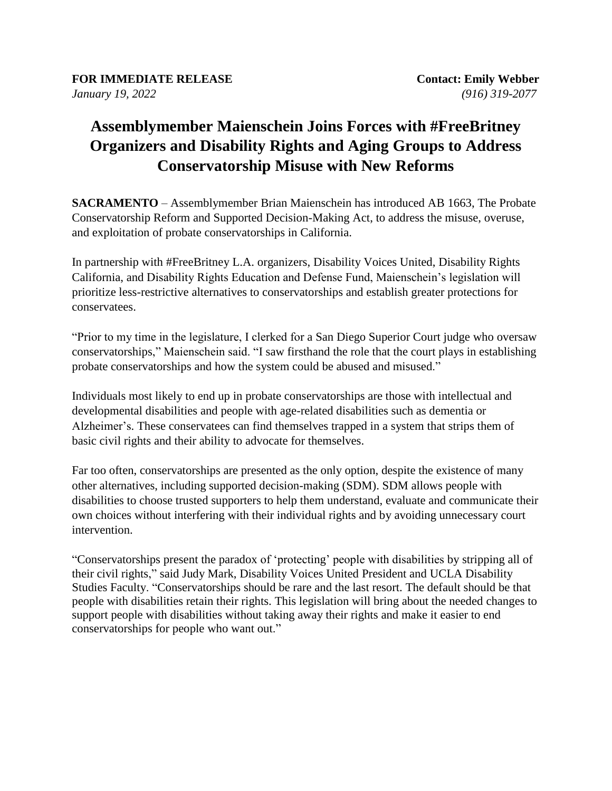## **Assemblymember Maienschein Joins Forces with #FreeBritney Organizers and Disability Rights and Aging Groups to Address Conservatorship Misuse with New Reforms**

**SACRAMENTO** – Assemblymember Brian Maienschein has introduced AB 1663, The Probate Conservatorship Reform and Supported Decision-Making Act, to address the misuse, overuse, and exploitation of probate conservatorships in California.

In partnership with #FreeBritney L.A. organizers, Disability Voices United, Disability Rights California, and Disability Rights Education and Defense Fund, Maienschein's legislation will prioritize less-restrictive alternatives to conservatorships and establish greater protections for conservatees.

"Prior to my time in the legislature, I clerked for a San Diego Superior Court judge who oversaw conservatorships," Maienschein said. "I saw firsthand the role that the court plays in establishing probate conservatorships and how the system could be abused and misused."

Individuals most likely to end up in probate conservatorships are those with intellectual and developmental disabilities and people with age-related disabilities such as dementia or Alzheimer's. These conservatees can find themselves trapped in a system that strips them of basic civil rights and their ability to advocate for themselves.

Far too often, conservatorships are presented as the only option, despite the existence of many other alternatives, including supported decision-making (SDM). SDM allows people with disabilities to choose trusted supporters to help them understand, evaluate and communicate their own choices without interfering with their individual rights and by avoiding unnecessary court intervention.

"Conservatorships present the paradox of 'protecting' people with disabilities by stripping all of their civil rights," said Judy Mark, Disability Voices United President and UCLA Disability Studies Faculty. "Conservatorships should be rare and the last resort. The default should be that people with disabilities retain their rights. This legislation will bring about the needed changes to support people with disabilities without taking away their rights and make it easier to end conservatorships for people who want out."